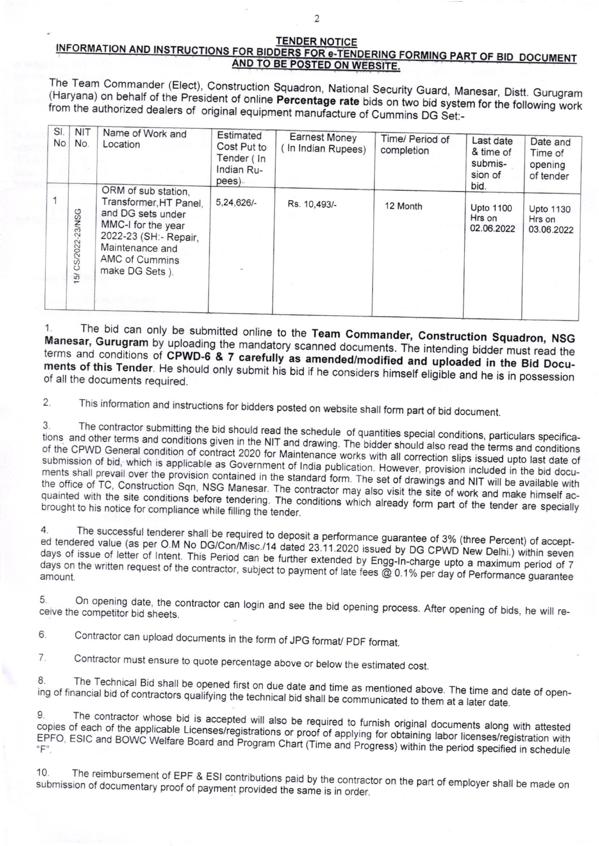## **TENDER NOTICE** INFORMATION AND INSTRUCTIONS FOR BIDDERS FOR e-TENDERING FORMING PART OF BID DOCUMENT AND TO BE POSTED ON WEBSITE.

The Team Commander (Elect), Construction Squadron, National Security Guard, Manesar, Distt. Gurugram (Haryana) on behalf of the President of online Percentage rate bids on two bid system for the following work from the authorized dealers of original equipment manufacture of Cummins DG Set:-

| SI.<br><b>No</b> | <b>NIT</b><br>No.  | Name of Work and<br>Location                                                                                                                                              | Estimated<br>Cost Put to<br>Tender (In<br>Indian Ru-<br>pees) | <b>Earnest Money</b><br>(In Indian Rupees) | Time/ Period of<br>completion | Last date<br>& time of<br>submis-<br>sion of | Date and<br>Time of<br>opening<br>of tender |
|------------------|--------------------|---------------------------------------------------------------------------------------------------------------------------------------------------------------------------|---------------------------------------------------------------|--------------------------------------------|-------------------------------|----------------------------------------------|---------------------------------------------|
|                  | 15/ CS/2022-23/NSG | ORM of sub station,<br>Transformer, HT Panel,<br>and DG sets under<br>MMC-I for the year<br>2022-23 (SH:- Repair,<br>Maintenance and<br>AMC of Cummins<br>make DG Sets ). | 5,24,626/-                                                    | Rs. 10,493/-                               | 12 Month                      | bid.<br>Upto 1100<br>Hrs on<br>02.06.2022    | <b>Upto 1130</b><br>Hrs on<br>03.06.2022    |

The bid can only be submitted online to the Team Commander, Construction Squadron, NSG 1. Manesar, Gurugram by uploading the mandatory scanned documents. The intending bidder must read the terms and conditions of CPWD-6 & 7 carefully as amended/modified and uploaded in the Bid Documents of this Tender. He should only submit his bid if he considers himself eligible and he is in possession of all the documents required.

This information and instructions for bidders posted on website shall form part of bid document.  $\overline{2}$ .

The contractor submitting the bid should read the schedule of quantities special conditions, particulars specifica-3. tions and other terms and conditions given in the NIT and drawing. The bidder should also read the terms and conditions of the CPWD General condition of contract 2020 for Maintenance works with all correction slips issued upto last date of submission of bid, which is applicable as Government of India publication. However, provision included in the bid documents shall prevail over the provision contained in the standard form. The set of drawings and NIT will be available with the office of TC, Construction Sqn, NSG Manesar. The contractor may also visit the site of work and make himself acquainted with the site conditions before tendering. The conditions which already form part of the tender are specially brought to his notice for compliance while filling the tender.

The successful tenderer shall be required to deposit a performance guarantee of 3% (three Percent) of accept-4. ed tendered value (as per O.M No DG/Con/Misc./14 dated 23.11.2020 issued by DG CPWD New Delhi.) within seven days of issue of letter of Intent. This Period can be further extended by Engg-In-charge upto a maximum period of 7 days on the written request of the contractor, subject to payment of late fees @ 0.1% per day of Performance guarantee

On opening date, the contractor can login and see the bid opening process. After opening of bids, he will re-5. ceive the competitor bid sheets.

Contractor can upload documents in the form of JPG format/ PDF format. 6.

Contractor must ensure to quote percentage above or below the estimated cost. 7.

The Technical Bid shall be opened first on due date and time as mentioned above. The time and date of open-8 ing of financial bid of contractors qualifying the technical bid shall be communicated to them at a later date.

The contractor whose bid is accepted will also be required to furnish original documents along with attested 9 copies of each of the applicable Licenses/registrations or proof of applying for obtaining labor licenses/registration with EPFO, ESIC and BOWC Welfare Board and Program Chart (Time and Progress) within the period specified in schedule

The reimbursement of EPF & ESI contributions paid by the contractor on the part of employer shall be made on 10. submission of documentary proof of payment provided the same is in order.